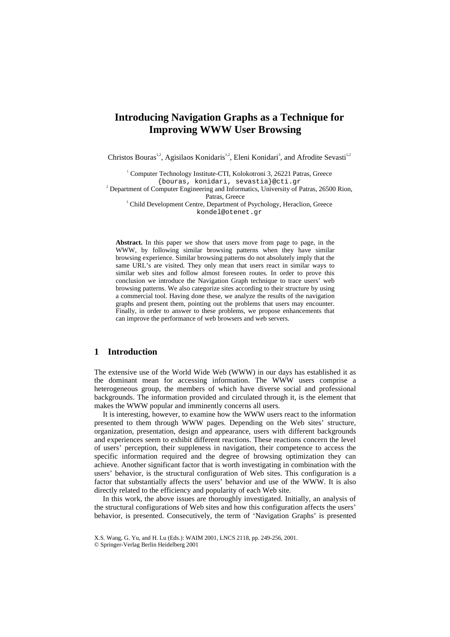# **Introducing Navigation Graphs as a Technique for Improving WWW User Browsing**

Christos Bouras<sup>1,2</sup>, Agisilaos Konidaris<sup>1,2</sup>, Eleni Konidari<sup>3</sup>, and Afrodite Sevasti<sup>1,2</sup>

<sup>1</sup> Computer Technology Institute-CTI, Kolokotroni 3, 26221 Patras, Greece {bouras, konidari, sevastia}@cti.gr <sup>2</sup> Department of Computer Engineering and Informatics, University of Patras, 26500 Rion, Patras, Greece<br>
<sup>3</sup> Child Development Centre, Department of Psychology, Heraclion, Greece

kondel@otenet.gr

**Abstract.** In this paper we show that users move from page to page, in the WWW, by following similar browsing patterns when they have similar browsing experience. Similar browsing patterns do not absolutely imply that the same URL's are visited. They only mean that users react in similar ways to similar web sites and follow almost foreseen routes. In order to prove this conclusion we introduce the Navigation Graph technique to trace users' web browsing patterns. We also categorize sites according to their structure by using a commercial tool. Having done these, we analyze the results of the navigation graphs and present them, pointing out the problems that users may encounter. Finally, in order to answer to these problems, we propose enhancements that can improve the performance of web browsers and web servers.

### **1 Introduction**

The extensive use of the World Wide Web (WWW) in our days has established it as the dominant mean for accessing information. The WWW users comprise a heterogeneous group, the members of which have diverse social and professional backgrounds. The information provided and circulated through it, is the element that makes the WWW popular and imminently concerns all users.

It is interesting, however, to examine how the WWW users react to the information presented to them through WWW pages. Depending on the Web sites' structure, organization, presentation, design and appearance, users with different backgrounds and experiences seem to exhibit different reactions. These reactions concern the level of users' perception, their suppleness in navigation, their competence to access the specific information required and the degree of browsing optimization they can achieve. Another significant factor that is worth investigating in combination with the users' behavior, is the structural configuration of Web sites. This configuration is a factor that substantially affects the users' behavior and use of the WWW. It is also directly related to the efficiency and popularity of each Web site.

In this work, the above issues are thoroughly investigated. Initially, an analysis of the structural configurations of Web sites and how this configuration affects the users' behavior, is presented. Consecutively, the term of 'Navigation Graphs' is presented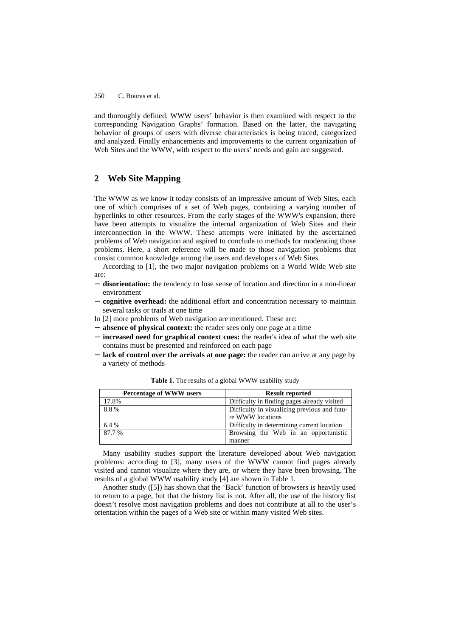and thoroughly defined. WWW users' behavior is then examined with respect to the corresponding Navigation Graphs' formation. Based on the latter, the navigating behavior of groups of users with diverse characteristics is being traced, categorized and analyzed. Finally enhancements and improvements to the current organization of Web Sites and the WWW, with respect to the users' needs and gain are suggested.

## **2 Web Site Mapping**

The WWW as we know it today consists of an impressive amount of Web Sites, each one of which comprises of a set of Web pages, containing a varying number of hyperlinks to other resources. From the early stages of the WWW's expansion, there have been attempts to visualize the internal organization of Web Sites and their interconnection in the WWW. These attempts were initiated by the ascertained problems of Web navigation and aspired to conclude to methods for moderating those problems. Here, a short reference will be made to those navigation problems that consist common knowledge among the users and developers of Web Sites.

According to [1], the two major navigation problems on a World Wide Web site are:

- − **disorientation:** the tendency to lose sense of location and direction in a non-linear environment
- − **cognitive overhead:** the additional effort and concentration necessary to maintain several tasks or trails at one time
- In [2] more problems of Web navigation are mentioned. These are:
- − **absence of physical context:** the reader sees only one page at a time
- − **increased need for graphical context cues:** the reader's idea of what the web site contains must be presented and reinforced on each page
- − **lack of control over the arrivals at one page:** the reader can arrive at any page by a variety of methods

| <b>Percentage of WWW users</b> | <b>Result reported</b>                       |
|--------------------------------|----------------------------------------------|
| 17.8%                          | Difficulty in finding pages already visited  |
| 8.8%                           | Difficulty in visualizing previous and futu- |
|                                | re WWW locations                             |
| 6.4 %                          | Difficulty in determining current location   |
| 87.7 %                         | Browsing the Web in an opportunistic         |
|                                | manner                                       |

**Table 1.** The results of a global WWW usability study

Many usability studies support the literature developed about Web navigation problems: according to [3], many users of the WWW cannot find pages already visited and cannot visualize where they are, or where they have been browsing. The results of a global WWW usability study [4] are shown in Table 1.

Another study ([5]) has shown that the 'Back' function of browsers is heavily used to return to a page, but that the history list is not. After all, the use of the history list doesn't resolve most navigation problems and does not contribute at all to the user's orientation within the pages of a Web site or within many visited Web sites.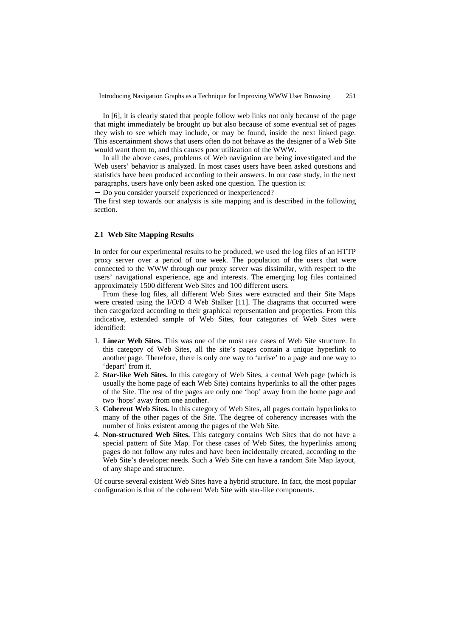In [6], it is clearly stated that people follow web links not only because of the page that might immediately be brought up but also because of some eventual set of pages they wish to see which may include, or may be found, inside the next linked page. This ascertainment shows that users often do not behave as the designer of a Web Site would want them to, and this causes poor utilization of the WWW.

In all the above cases, problems of Web navigation are being investigated and the Web users' behavior is analyzed. In most cases users have been asked questions and statistics have been produced according to their answers. In our case study, in the next paragraphs, users have only been asked one question. The question is:

− Do you consider yourself experienced or inexperienced?

The first step towards our analysis is site mapping and is described in the following section.

#### **2.1 Web Site Mapping Results**

In order for our experimental results to be produced, we used the log files of an HTTP proxy server over a period of one week. The population of the users that were connected to the WWW through our proxy server was dissimilar, with respect to the users' navigational experience, age and interests. The emerging log files contained approximately 1500 different Web Sites and 100 different users.

From these log files, all different Web Sites were extracted and their Site Maps were created using the I/O/D 4 Web Stalker [11]. The diagrams that occurred were then categorized according to their graphical representation and properties. From this indicative, extended sample of Web Sites, four categories of Web Sites were identified:

- 1. **Linear Web Sites.** This was one of the most rare cases of Web Site structure. In this category of Web Sites, all the site's pages contain a unique hyperlink to another page. Therefore, there is only one way to 'arrive' to a page and one way to 'depart' from it.
- 2. **Star-like Web Sites.** In this category of Web Sites, a central Web page (which is usually the home page of each Web Site) contains hyperlinks to all the other pages of the Site. The rest of the pages are only one 'hop' away from the home page and two 'hops' away from one another.
- 3. **Coherent Web Sites.** In this category of Web Sites, all pages contain hyperlinks to many of the other pages of the Site. The degree of coherency increases with the number of links existent among the pages of the Web Site.
- 4. **Non-structured Web Sites.** This category contains Web Sites that do not have a special pattern of Site Map. For these cases of Web Sites, the hyperlinks among pages do not follow any rules and have been incidentally created, according to the Web Site's developer needs. Such a Web Site can have a random Site Map layout, of any shape and structure.

Of course several existent Web Sites have a hybrid structure. In fact, the most popular configuration is that of the coherent Web Site with star-like components.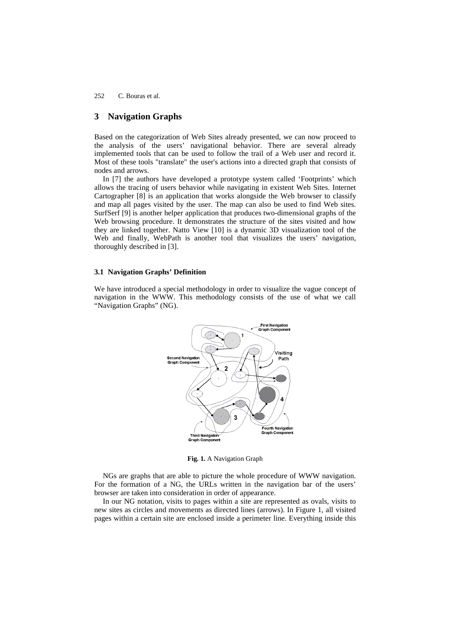## **3 Navigation Graphs**

Based on the categorization of Web Sites already presented, we can now proceed to the analysis of the users' navigational behavior. There are several already implemented tools that can be used to follow the trail of a Web user and record it. Most of these tools "translate" the user's actions into a directed graph that consists of nodes and arrows.

In [7] the authors have developed a prototype system called 'Footprints' which allows the tracing of users behavior while navigating in existent Web Sites. Internet Cartographer [8] is an application that works alongside the Web browser to classify and map all pages visited by the user. The map can also be used to find Web sites. SurfSerf [9] is another helper application that produces two-dimensional graphs of the Web browsing procedure. It demonstrates the structure of the sites visited and how they are linked together. Natto View [10] is a dynamic 3D visualization tool of the Web and finally, WebPath is another tool that visualizes the users' navigation, thoroughly described in [3].

### **3.1 Navigation Graphs' Definition**

We have introduced a special methodology in order to visualize the vague concept of navigation in the WWW. This methodology consists of the use of what we call "Navigation Graphs" (NG).



**Fig. 1.** A Navigation Graph

NGs are graphs that are able to picture the whole procedure of WWW navigation. For the formation of a NG, the URLs written in the navigation bar of the users' browser are taken into consideration in order of appearance.

In our NG notation, visits to pages within a site are represented as ovals, visits to new sites as circles and movements as directed lines (arrows). In Figure 1, all visited pages within a certain site are enclosed inside a perimeter line. Everything inside this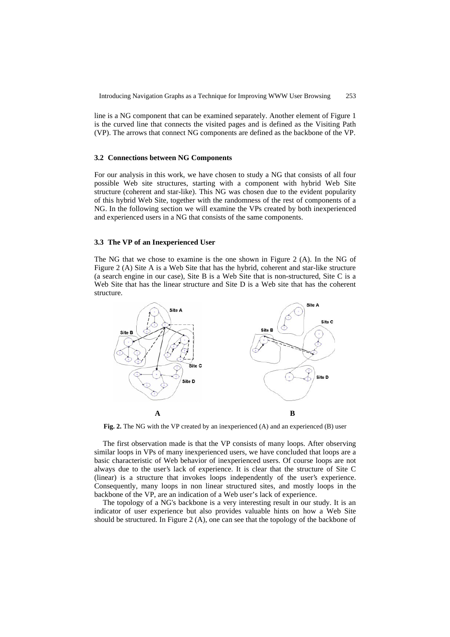line is a NG component that can be examined separately. Another element of Figure 1 is the curved line that connects the visited pages and is defined as the Visiting Path (VP). The arrows that connect NG components are defined as the backbone of the VP.

#### **3.2 Connections between NG Components**

For our analysis in this work, we have chosen to study a NG that consists of all four possible Web site structures, starting with a component with hybrid Web Site structure (coherent and star-like). This NG was chosen due to the evident popularity of this hybrid Web Site, together with the randomness of the rest of components of a NG. In the following section we will examine the VPs created by both inexperienced and experienced users in a NG that consists of the same components.

#### **3.3 The VP of an Inexperienced User**

The NG that we chose to examine is the one shown in Figure 2 (A). In the NG of Figure 2 (A) Site A is a Web Site that has the hybrid, coherent and star-like structure (a search engine in our case), Site B is a Web Site that is non-structured, Site C is a Web Site that has the linear structure and Site D is a Web site that has the coherent structure.



**Fig. 2.** The NG with the VP created by an inexperienced (A) and an experienced (B) user

The first observation made is that the VP consists of many loops. After observing similar loops in VPs of many inexperienced users, we have concluded that loops are a basic characteristic of Web behavior of inexperienced users. Of course loops are not always due to the user's lack of experience. It is clear that the structure of Site C (linear) is a structure that invokes loops independently of the user's experience. Consequently, many loops in non linear structured sites, and mostly loops in the backbone of the VP, are an indication of a Web user's lack of experience.

The topology of a NG's backbone is a very interesting result in our study. It is an indicator of user experience but also provides valuable hints on how a Web Site should be structured. In Figure 2 (A), one can see that the topology of the backbone of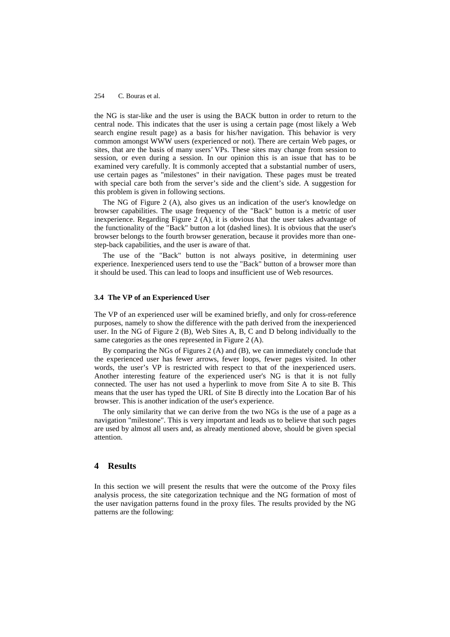the NG is star-like and the user is using the BACK button in order to return to the central node. This indicates that the user is using a certain page (most likely a Web search engine result page) as a basis for his/her navigation. This behavior is very common amongst WWW users (experienced or not). There are certain Web pages, or sites, that are the basis of many users' VPs. These sites may change from session to session, or even during a session. In our opinion this is an issue that has to be examined very carefully. It is commonly accepted that a substantial number of users, use certain pages as "milestones" in their navigation. These pages must be treated with special care both from the server's side and the client's side. A suggestion for this problem is given in following sections.

The NG of Figure 2 (A), also gives us an indication of the user's knowledge on browser capabilities. The usage frequency of the "Back" button is a metric of user inexperience. Regarding Figure 2 (A), it is obvious that the user takes advantage of the functionality of the "Back" button a lot (dashed lines). It is obvious that the user's browser belongs to the fourth browser generation, because it provides more than onestep-back capabilities, and the user is aware of that.

The use of the "Back" button is not always positive, in determining user experience. Inexperienced users tend to use the "Back" button of a browser more than it should be used. This can lead to loops and insufficient use of Web resources.

### **3.4 The VP of an Experienced User**

The VP of an experienced user will be examined briefly, and only for cross-reference purposes, namely to show the difference with the path derived from the inexperienced user. In the NG of Figure 2 (B), Web Sites A, B, C and D belong individually to the same categories as the ones represented in Figure 2 (A).

By comparing the NGs of Figures 2 (A) and (B), we can immediately conclude that the experienced user has fewer arrows, fewer loops, fewer pages visited. In other words, the user's VP is restricted with respect to that of the inexperienced users. Another interesting feature of the experienced user's NG is that it is not fully connected. The user has not used a hyperlink to move from Site A to site B. This means that the user has typed the URL of Site B directly into the Location Bar of his browser. This is another indication of the user's experience.

The only similarity that we can derive from the two NGs is the use of a page as a navigation "milestone". This is very important and leads us to believe that such pages are used by almost all users and, as already mentioned above, should be given special attention.

### **4 Results**

In this section we will present the results that were the outcome of the Proxy files analysis process, the site categorization technique and the NG formation of most of the user navigation patterns found in the proxy files. The results provided by the NG patterns are the following: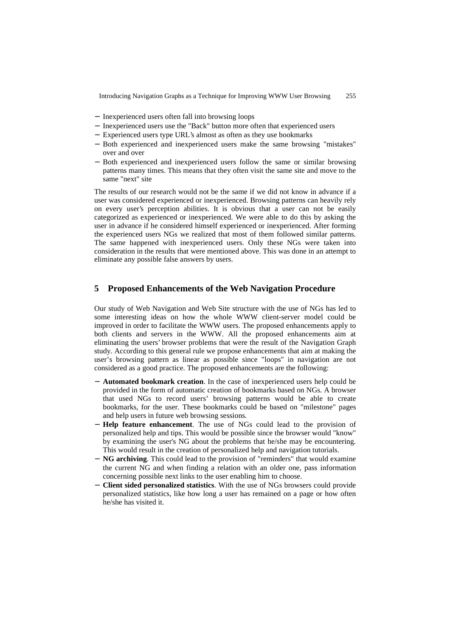- − Inexperienced users often fall into browsing loops
- − Inexperienced users use the "Back" button more often that experienced users
- − Experienced users type URL's almost as often as they use bookmarks
- − Both experienced and inexperienced users make the same browsing "mistakes" over and over
- − Both experienced and inexperienced users follow the same or similar browsing patterns many times. This means that they often visit the same site and move to the same "next" site

The results of our research would not be the same if we did not know in advance if a user was considered experienced or inexperienced. Browsing patterns can heavily rely on every user's perception abilities. It is obvious that a user can not be easily categorized as experienced or inexperienced. We were able to do this by asking the user in advance if he considered himself experienced or inexperienced. After forming the experienced users NGs we realized that most of them followed similar patterns. The same happened with inexperienced users. Only these NGs were taken into consideration in the results that were mentioned above. This was done in an attempt to eliminate any possible false answers by users.

### **5 Proposed Enhancements of the Web Navigation Procedure**

Our study of Web Navigation and Web Site structure with the use of NGs has led to some interesting ideas on how the whole WWW client-server model could be improved in order to facilitate the WWW users. The proposed enhancements apply to both clients and servers in the WWW. All the proposed enhancements aim at eliminating the users' browser problems that were the result of the Navigation Graph study. According to this general rule we propose enhancements that aim at making the user's browsing pattern as linear as possible since "loops" in navigation are not considered as a good practice. The proposed enhancements are the following:

- − **Automated bookmark creation**. In the case of inexperienced users help could be provided in the form of automatic creation of bookmarks based on NGs. A browser that used NGs to record users' browsing patterns would be able to create bookmarks, for the user. These bookmarks could be based on "milestone" pages and help users in future web browsing sessions.
- − **Help feature enhancement**. The use of NGs could lead to the provision of personalized help and tips. This would be possible since the browser would "know" by examining the user's NG about the problems that he/she may be encountering. This would result in the creation of personalized help and navigation tutorials.
- − **NG archiving**. This could lead to the provision of "reminders" that would examine the current NG and when finding a relation with an older one, pass information concerning possible next links to the user enabling him to choose.
- − **Client sided personalized statistics**. With the use of NGs browsers could provide personalized statistics, like how long a user has remained on a page or how often he/she has visited it.